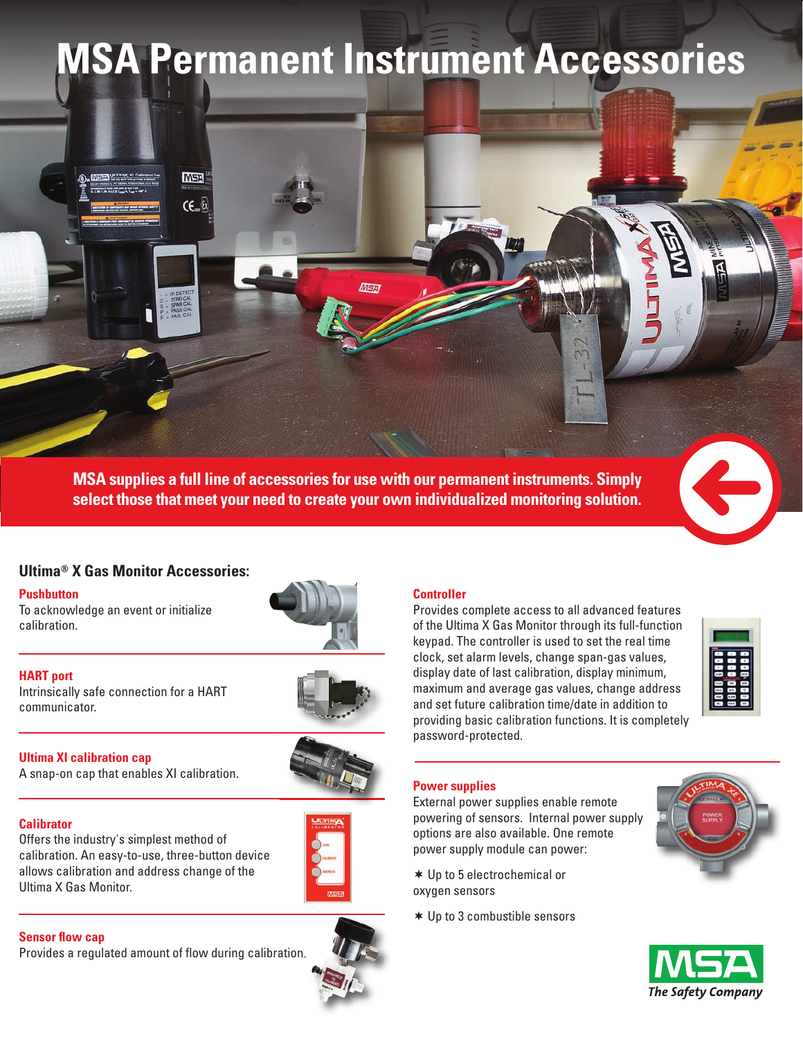# **MSA Permanent Instrument Accessories**

**MSA supplies a full line of accessories for use with our permanent instruments. Simply Select those that meet your need to create your own individualized monitoring solution.** 

MEFA

# **Ultima® X Gas Monitor Accessories:**

**MSA** 

 $CE = 6$ 

#### **Pushbutton**

To acknowledge an event or initialize calibration.







#### **Ultima XI calibration cap**

A snap-on cap that enables XI calibration.

## **Calibrator**

Offers the industry's simplest method of calibration. An easy-to-use, three-button device allows calibration and address change of the Ultima X Gas Monitor.



### **Sensor flow cap**

Provides a regulated amount of flow during calibration.



#### **Controller**

Provides complete access to all advanced features of the Ultima X Gas Monitor through its full-function keypad. The controller is used to set the real time clock, set alarm levels, change span-gas values, display date of last calibration, display minimum, maximum and average gas values, change address and set future calibration time/date in addition to providing basic calibration functions. It is completely password-protected.



#### **Power supplies**

External power supplies enable remote powering of sensors. Internal power supply options are also available. One remote power supply module can power:

 Up to 5 electrochemical or oxygen sensors

Up to 3 combustible sensors